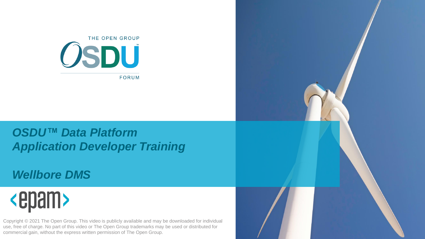

#### *OSDU™ Data Platform Application Developer Training*

#### *Wellbore DMS*

## <epam>

Copyright © 2021 The Open Group. This video is publicly available and may be downloaded for individual use, free of charge. No part of this video or The Open Group trademarks may be used or distributed for commercial gain, without the express written permission of The Open Group.

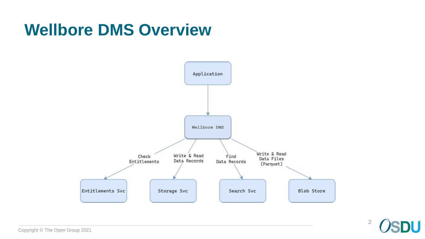#### **Wellbore DMS Overview**



2U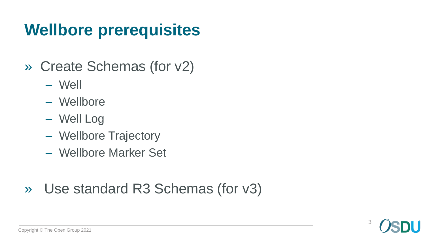### **Wellbore prerequisites**

- » Create Schemas (for v2)
	- Well
	- Wellbore
	- Well Log
	- Wellbore Trajectory
	- Wellbore Marker Set
- » Use standard R3 Schemas (for v3)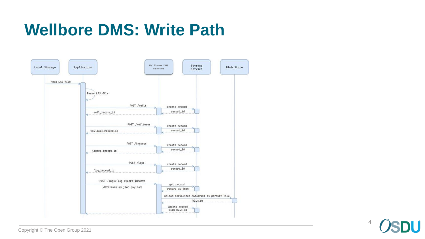

4IJ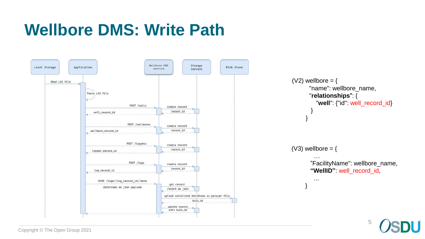

```
(V2) wellbore = {
      "name": wellbore_name,
      "relationships": {
         "well": {"id": well_record_id}
       }
     }
(V3) wellbore = {
        …
       "FacilityName": wellbore_name,
       "WellID": well_record_id,
        ...
     }
```
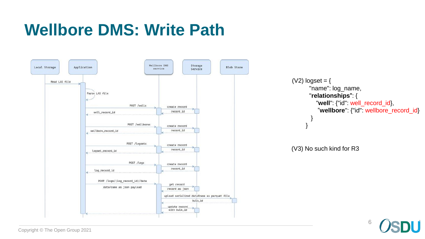

(V2)  $logset = \{$ "name": log\_name, "**relationships**": { "**well**": {"id": well\_record\_id}, "**wellbore**": {"id": wellbore\_record\_id} } }

(V3) No such kind for R3



Copyright © The Open Group 2021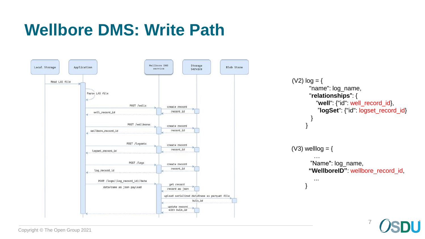

(V2)  $log = {$ "name": log\_name, "**relationships**": { "**well**": {"id": well\_record\_id}, "**logSet**": {"id": logset\_record\_id} } } (V3) welllog  $=$  { … "Name": log\_name, **"WellboreID"**: wellbore\_record\_id, ... }

7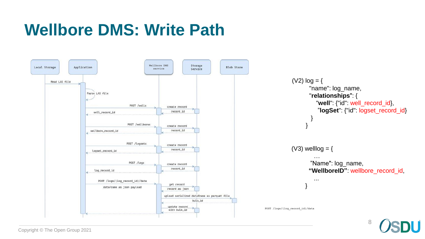

(V2)  $log = {$ "name": log\_name, "**relationships**": { "**well**": {"id": well\_record\_id}, "**logSet**": {"id": logset\_record\_id} } } (V3) welllog  $=$  { … "Name": log\_name, **"WellboreID"**: wellbore\_record\_id, ... }

**POST /logs/{log\_record\_id}/data**

8

Copyright © The Open Group 2021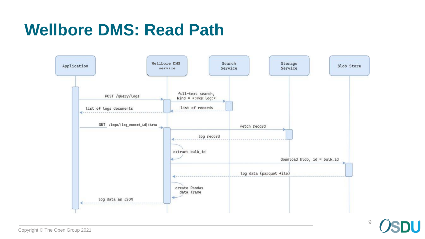#### **Wellbore DMS: Read Path**



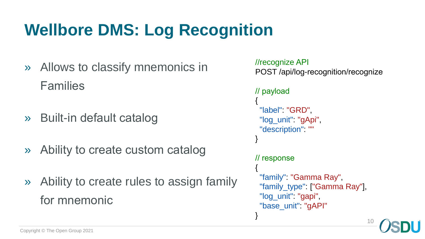## **Wellbore DMS: Log Recognition**

- » Allows to classify mnemonics in Families
- » Built-in default catalog
- » Ability to create custom catalog
- » Ability to create rules to assign family for mnemonic

```
//recognize API
POST /api/log-recognition/recognize
// payload
{
 "label": "GRD",
 "log_unit" "gApi",
 "description": ""
}
// response
{
 "family": "Gamma Ray",
 "family_type": ["Gamma Ray"],
 "log_unit" "gapi",
 "base_unit": "gAPI"
}
                                 10
```